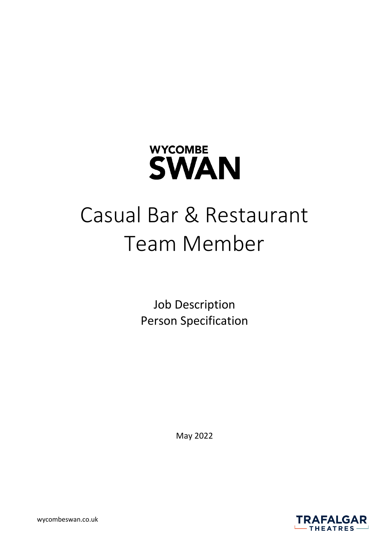

# Casual Bar & Restaurant Team Member

Job Description Person Specification

May 2022

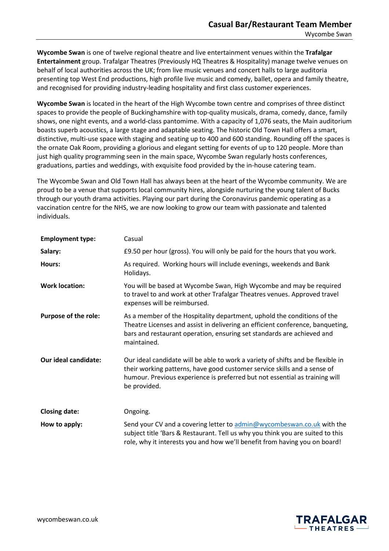**Wycombe Swan** is one of twelve regional theatre and live entertainment venues within the **Trafalgar Entertainment** group. Trafalgar Theatres (Previously HQ Theatres & Hospitality) manage twelve venues on behalf of local authorities across the UK; from live music venues and concert halls to large auditoria presenting top West End productions, high profile live music and comedy, ballet, opera and family theatre, and recognised for providing industry-leading hospitality and first class customer experiences.

**Wycombe Swan** is located in the heart of the High Wycombe town centre and comprises of three distinct spaces to provide the people of Buckinghamshire with top-quality musicals, drama, comedy, dance, family shows, one night events, and a world-class pantomime. With a capacity of 1,076 seats, the Main auditorium boasts superb acoustics, a large stage and adaptable seating. The historic Old Town Hall offers a smart, distinctive, multi-use space with staging and seating up to 400 and 600 standing. Rounding off the spaces is the ornate Oak Room, providing a glorious and elegant setting for events of up to 120 people. More than just high quality programming seen in the main space, Wycombe Swan regularly hosts conferences, graduations, parties and weddings, with exquisite food provided by the in-house catering team.

The Wycombe Swan and Old Town Hall has always been at the heart of the Wycombe community. We are proud to be a venue that supports local community hires, alongside nurturing the young talent of Bucks through our youth drama activities. Playing our part during the Coronavirus pandemic operating as a vaccination centre for the NHS, we are now looking to grow our team with passionate and talented individuals.

| <b>Employment type:</b>     | Casual                                                                                                                                                                                                                                                     |
|-----------------------------|------------------------------------------------------------------------------------------------------------------------------------------------------------------------------------------------------------------------------------------------------------|
| Salary:                     | £9.50 per hour (gross). You will only be paid for the hours that you work.                                                                                                                                                                                 |
| Hours:                      | As required. Working hours will include evenings, weekends and Bank<br>Holidays.                                                                                                                                                                           |
| <b>Work location:</b>       | You will be based at Wycombe Swan, High Wycombe and may be required<br>to travel to and work at other Trafalgar Theatres venues. Approved travel<br>expenses will be reimbursed.                                                                           |
| Purpose of the role:        | As a member of the Hospitality department, uphold the conditions of the<br>Theatre Licenses and assist in delivering an efficient conference, banqueting,<br>bars and restaurant operation, ensuring set standards are achieved and<br>maintained.         |
| <b>Our ideal candidate:</b> | Our ideal candidate will be able to work a variety of shifts and be flexible in<br>their working patterns, have good customer service skills and a sense of<br>humour. Previous experience is preferred but not essential as training will<br>be provided. |
| <b>Closing date:</b>        | Ongoing.                                                                                                                                                                                                                                                   |
| How to apply:               | Send your CV and a covering letter to admin@wycombeswan.co.uk with the<br>subject title 'Bars & Restaurant. Tell us why you think you are suited to this<br>role, why it interests you and how we'll benefit from having you on board!                     |

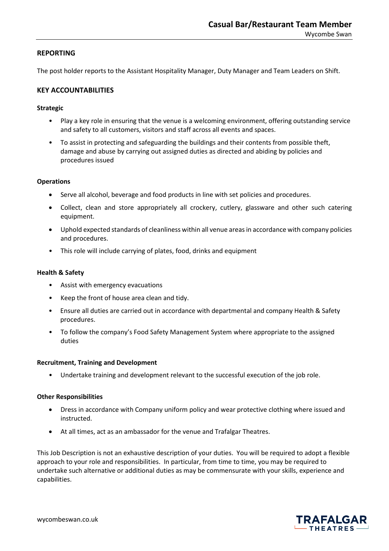## **REPORTING**

The post holder reports to the Assistant Hospitality Manager, Duty Manager and Team Leaders on Shift.

# **KEY ACCOUNTABILITIES**

## **Strategic**

- Play a key role in ensuring that the venue is a welcoming environment, offering outstanding service and safety to all customers, visitors and staff across all events and spaces.
- To assist in protecting and safeguarding the buildings and their contents from possible theft, damage and abuse by carrying out assigned duties as directed and abiding by policies and procedures issued

## **Operations**

- Serve all alcohol, beverage and food products in line with set policies and procedures.
- Collect, clean and store appropriately all crockery, cutlery, glassware and other such catering equipment.
- Uphold expected standards of cleanliness within all venue areas in accordance with company policies and procedures.
- This role will include carrying of plates, food, drinks and equipment

## **Health & Safety**

- Assist with emergency evacuations
- Keep the front of house area clean and tidy.
- Ensure all duties are carried out in accordance with departmental and company Health & Safety procedures.
- To follow the company's Food Safety Management System where appropriate to the assigned duties

#### **Recruitment, Training and Development**

• Undertake training and development relevant to the successful execution of the job role.

#### **Other Responsibilities**

- Dress in accordance with Company uniform policy and wear protective clothing where issued and instructed.
- At all times, act as an ambassador for the venue and Trafalgar Theatres.

This Job Description is not an exhaustive description of your duties. You will be required to adopt a flexible approach to your role and responsibilities. In particular, from time to time, you may be required to undertake such alternative or additional duties as may be commensurate with your skills, experience and capabilities.